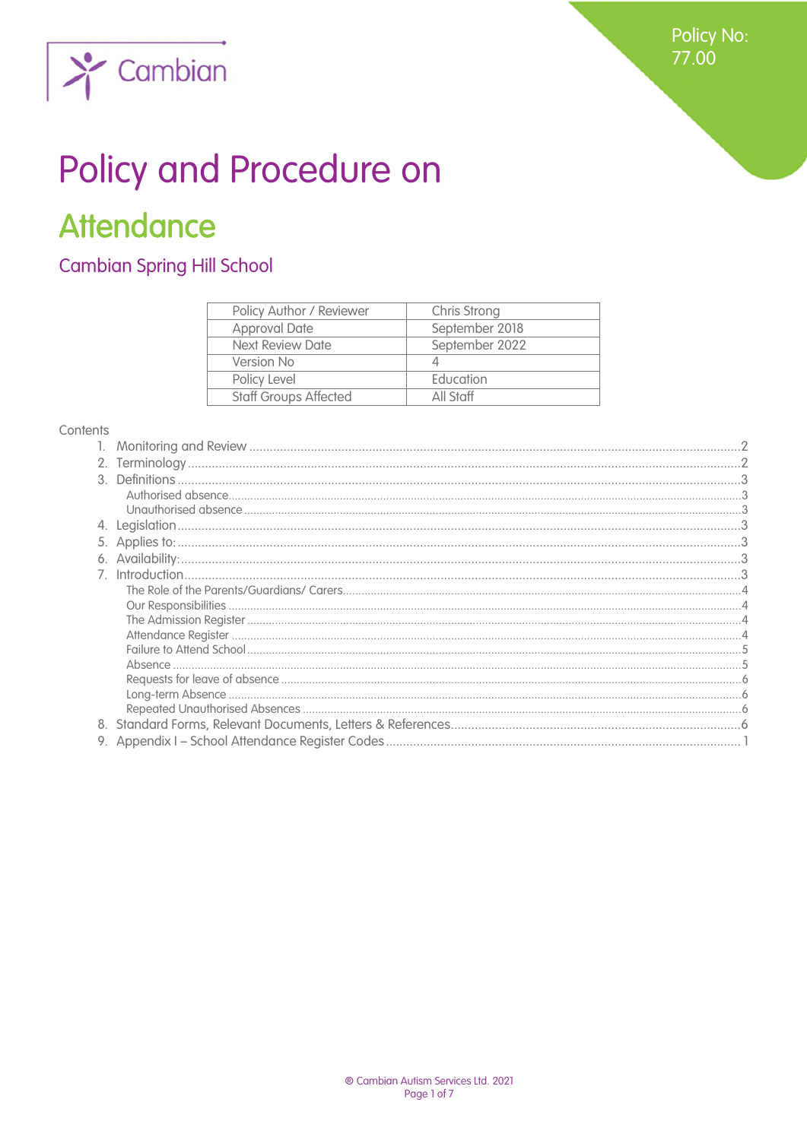

# $\sum$  Cambian

# Policy and Procedure on **Attendance**

**Cambian Spring Hill School** 

| Policy Author / Reviewer     | Chris Strong   |
|------------------------------|----------------|
| <b>Approval Date</b>         | September 2018 |
| <b>Next Review Date</b>      | September 2022 |
| Version No                   |                |
| Policy Level                 | Education      |
| <b>Staff Groups Affected</b> | All Staff      |
|                              |                |

#### Contents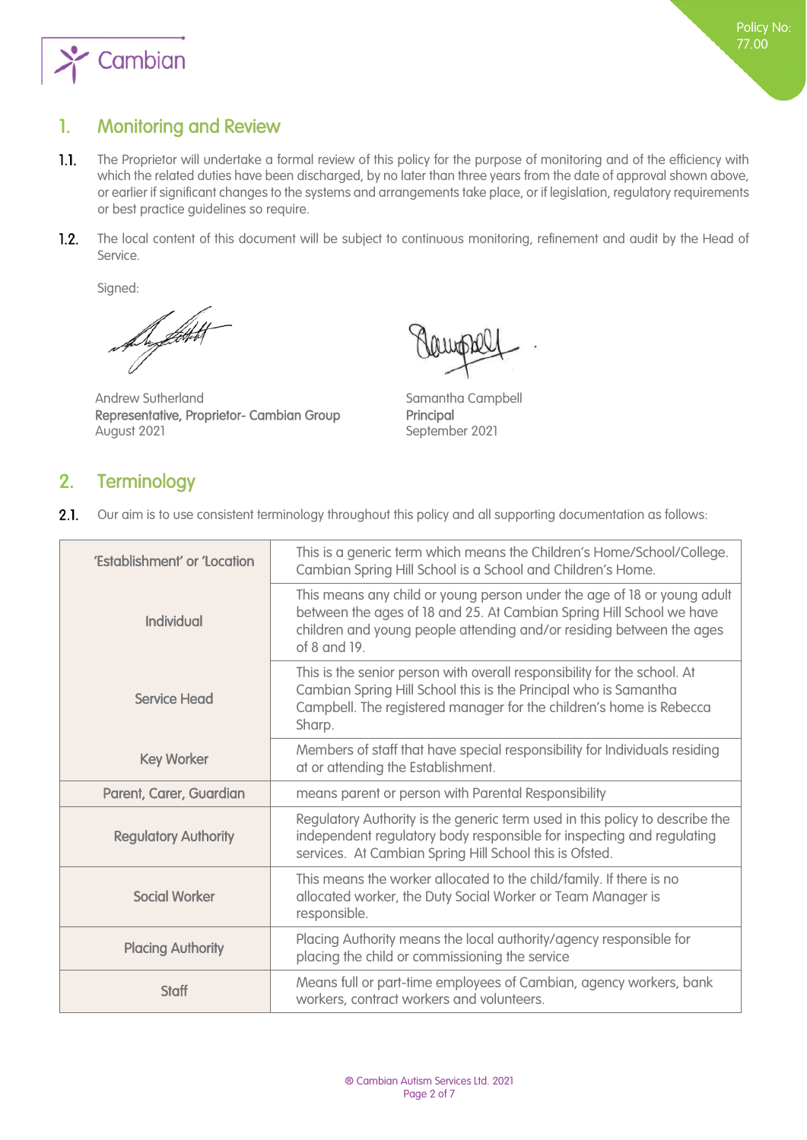

# <span id="page-1-0"></span>1. Monitoring and Review

- $1.1.$ The Proprietor will undertake a formal review of this policy for the purpose of monitoring and of the efficiency with which the related duties have been discharged, by no later than three years from the date of approval shown above, or earlier if significant changes to the systems and arrangements take place, or if legislation, regulatory requirements or best practice guidelines so require.
- The local content of this document will be subject to continuous monitoring, refinement and audit by the Head of  $1.2.$ Service.

Signed:

Augustat

Andrew Sutherland Samantha Campbell Representative, Proprietor- Cambian Group Principal August 2021 September 2021

# <span id="page-1-1"></span>2. Terminology

 $2.1.$ Our aim is to use consistent terminology throughout this policy and all supporting documentation as follows:

| 'Establishment' or 'Location | This is a generic term which means the Children's Home/School/College.<br>Cambian Spring Hill School is a School and Children's Home.                                                                                                   |
|------------------------------|-----------------------------------------------------------------------------------------------------------------------------------------------------------------------------------------------------------------------------------------|
| Individual                   | This means any child or young person under the age of 18 or young adult<br>between the ages of 18 and 25. At Cambian Spring Hill School we have<br>children and young people attending and/or residing between the ages<br>of 8 and 19. |
| <b>Service Head</b>          | This is the senior person with overall responsibility for the school. At<br>Cambian Spring Hill School this is the Principal who is Samantha<br>Campbell. The registered manager for the children's home is Rebecca<br>Sharp.           |
| <b>Key Worker</b>            | Members of staff that have special responsibility for Individuals residing<br>at or attending the Establishment.                                                                                                                        |
| Parent, Carer, Guardian      | means parent or person with Parental Responsibility                                                                                                                                                                                     |
| <b>Regulatory Authority</b>  | Regulatory Authority is the generic term used in this policy to describe the<br>independent regulatory body responsible for inspecting and regulating<br>services. At Cambian Spring Hill School this is Ofsted.                        |
| <b>Social Worker</b>         | This means the worker allocated to the child/family. If there is no<br>allocated worker, the Duty Social Worker or Team Manager is<br>responsible.                                                                                      |
| <b>Placing Authority</b>     | Placing Authority means the local authority/agency responsible for<br>placing the child or commissioning the service                                                                                                                    |
| <b>Staff</b>                 | Means full or part-time employees of Cambian, agency workers, bank<br>workers, contract workers and volunteers.                                                                                                                         |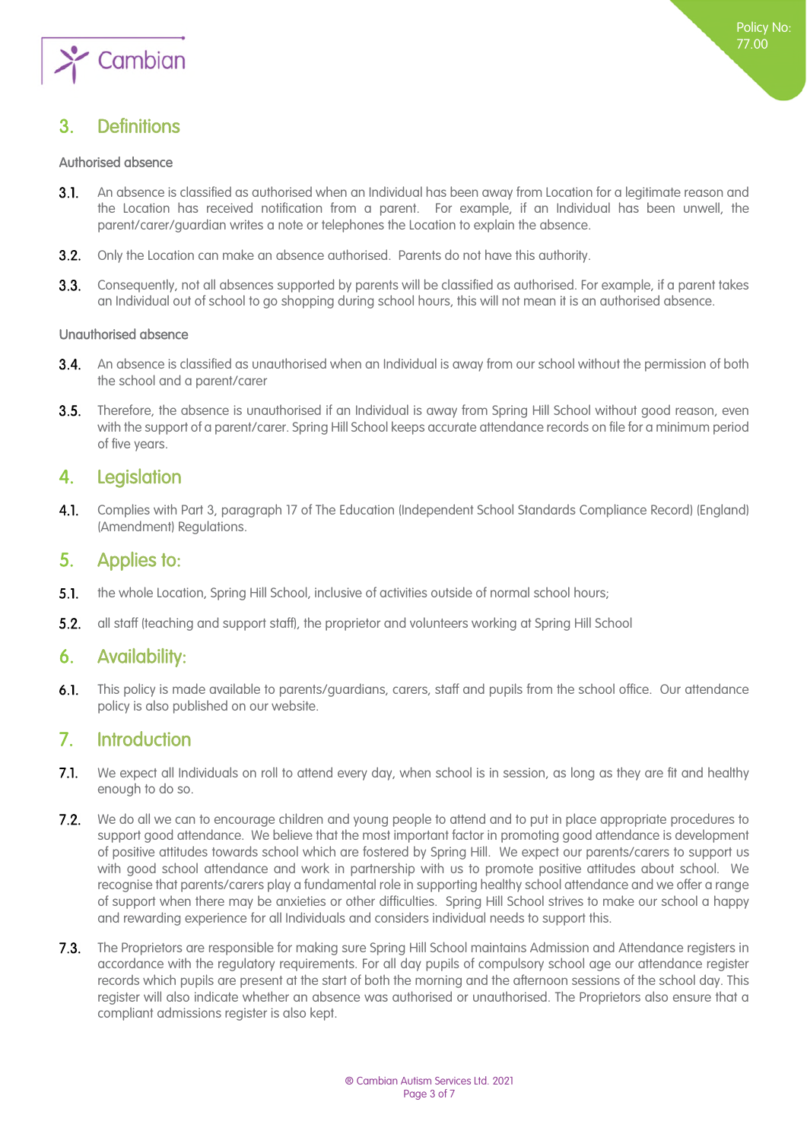

# <span id="page-2-1"></span><span id="page-2-0"></span>3. Definitions

#### <span id="page-2-2"></span>Authorised absence

- $3.1.$ An absence is classified as authorised when an Individual has been away from Location for a legitimate reason and the Location has received notification from a parent. For example, if an Individual has been unwell, the parent/carer/guardian writes a note or telephones the Location to explain the absence.
- $3.2.$ Only the Location can make an absence authorised. Parents do not have this authority.
- Consequently, not all absences supported by parents will be classified as authorised. For example, if a parent takes  $3.3.$ an Individual out of school to go shopping during school hours, this will not mean it is an authorised absence.

#### <span id="page-2-3"></span>Unauthorised absence

- 3.4. An absence is classified as unauthorised when an Individual is away from our school without the permission of both the school and a parent/carer
- $3.5.$ Therefore, the absence is unauthorised if an Individual is away from Spring Hill School without good reason, even with the support of a parent/carer. Spring Hill School keeps accurate attendance records on file for a minimum period of five years.

# <span id="page-2-4"></span>4. Legislation

 $4.1.$ Complies with Part 3, paragraph 17 of The Education (Independent School Standards Compliance Record) (England) (Amendment) Regulations.

# <span id="page-2-5"></span>5. Applies to:

- $5.1$ the whole Location, Spring Hill School, inclusive of activities outside of normal school hours;
- $5.2.$ all staff (teaching and support staff), the proprietor and volunteers working at Spring Hill School

# <span id="page-2-6"></span>6. Availability:

This policy is made available to parents/guardians, carers, staff and pupils from the school office. Our attendance  $6.1.$ policy is also published on our website.

# <span id="page-2-7"></span>7. Introduction

- $7.1.$ We expect all Individuals on roll to attend every day, when school is in session, as long as they are fit and healthy enough to do so.
- $7.2.$ We do all we can to encourage children and young people to attend and to put in place appropriate procedures to support good attendance. We believe that the most important factor in promoting good attendance is development of positive attitudes towards school which are fostered by Spring Hill. We expect our parents/carers to support us with good school attendance and work in partnership with us to promote positive attitudes about school. We recognise that parents/carers play a fundamental role in supporting healthy school attendance and we offer a range of support when there may be anxieties or other difficulties. Spring Hill School strives to make our school a happy and rewarding experience for all Individuals and considers individual needs to support this.
- 7.3. The Proprietors are responsible for making sure Spring Hill School maintains Admission and Attendance registers in accordance with the regulatory requirements. For all day pupils of compulsory school age our attendance register records which pupils are present at the start of both the morning and the afternoon sessions of the school day. This register will also indicate whether an absence was authorised or unauthorised. The Proprietors also ensure that a compliant admissions register is also kept.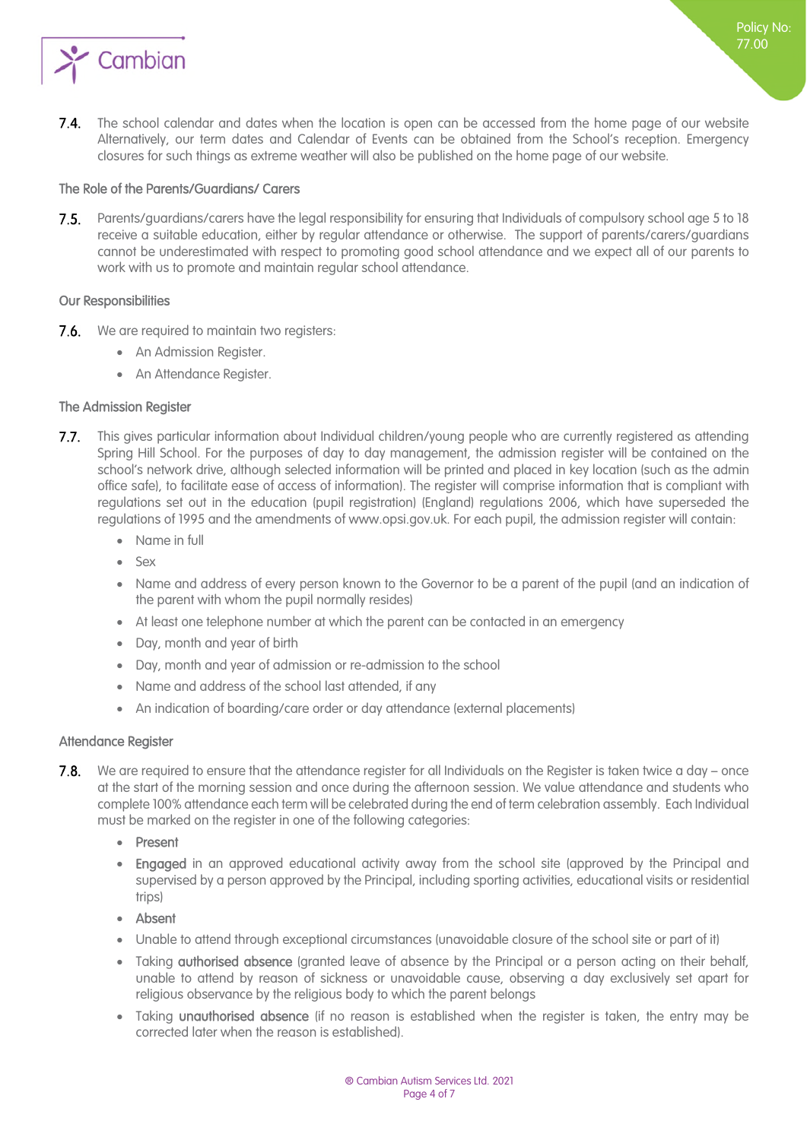

 $7.4.$ The school calendar and dates when the location is open can be accessed from the home page of our website Alternatively, our term dates and Calendar of Events can be obtained from the School's reception. Emergency closures for such things as extreme weather will also be published on the home page of our website.

#### <span id="page-3-1"></span><span id="page-3-0"></span>The Role of the Parents/Guardians/ Carers

7.5. Parents/guardians/carers have the legal responsibility for ensuring that Individuals of compulsory school age 5 to 18 receive a suitable education, either by regular attendance or otherwise. The support of parents/carers/guardians cannot be underestimated with respect to promoting good school attendance and we expect all of our parents to work with us to promote and maintain regular school attendance.

#### <span id="page-3-2"></span>Our Responsibilities

- **7.6.** We are required to maintain two reaisters:
	- An Admission Register.
	- An Attendance Register.

#### <span id="page-3-3"></span>The Admission Register

- This gives particular information about Individual children/young people who are currently registered as attending  $7.7.$ Spring Hill School. For the purposes of day to day management, the admission register will be contained on the school's network drive, although selected information will be printed and placed in key location (such as the admin office safe), to facilitate ease of access of information). The register will comprise information that is compliant with regulations set out in the education (pupil registration) (England) regulations 2006, which have superseded the regulations of 1995 and the amendments of www.opsi.gov.uk. For each pupil, the admission register will contain:
	- Name in full
	- Sex
	- Name and address of every person known to the Governor to be a parent of the pupil (and an indication of the parent with whom the pupil normally resides)
	- At least one telephone number at which the parent can be contacted in an emergency
	- Day, month and year of birth
	- Day, month and year of admission or re-admission to the school
	- Name and address of the school last attended, if any
	- An indication of boarding/care order or day attendance (external placements)

#### <span id="page-3-4"></span>Attendance Register

- We are required to ensure that the attendance register for all Individuals on the Register is taken twice a day once  $7.8.$ at the start of the morning session and once during the afternoon session. We value attendance and students who complete 100% attendance each term will be celebrated during the end of term celebration assembly. Each Individual must be marked on the register in one of the following categories:
	- Present
	- Engaged in an approved educational activity away from the school site (approved by the Principal and supervised by a person approved by the Principal, including sporting activities, educational visits or residential trips)
	- Absent
	- Unable to attend through exceptional circumstances (unavoidable closure of the school site or part of it)
	- Taking **authorised absence** (granted leave of absence by the Principal or a person acting on their behalf, unable to attend by reason of sickness or unavoidable cause, observing a day exclusively set apart for religious observance by the religious body to which the parent belongs
	- Taking unauthorised absence (if no reason is established when the register is taken, the entry may be corrected later when the reason is established).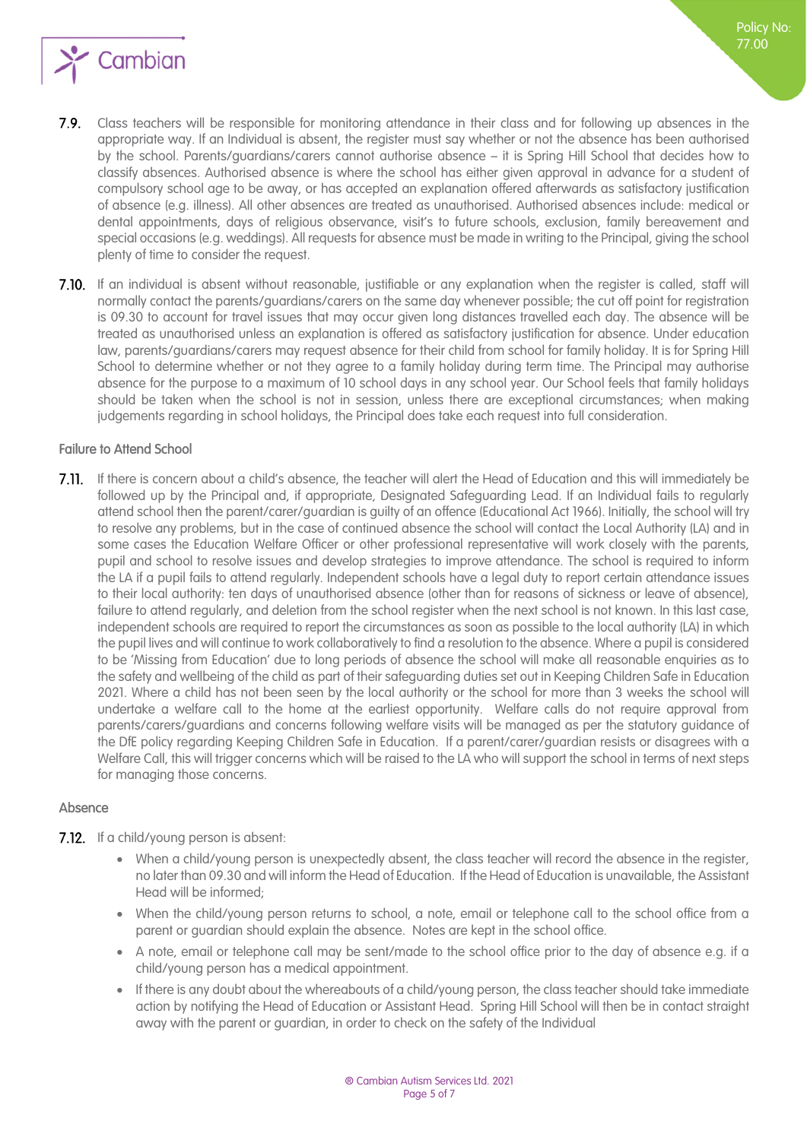

- 7.9. Class teachers will be responsible for monitoring attendance in their class and for following up absences in the appropriate way. If an Individual is absent, the register must say whether or not the absence has been authorised by the school. Parents/guardians/carers cannot authorise absence – it is Spring Hill School that decides how to classify absences. Authorised absence is where the school has either given approval in advance for a student of compulsory school age to be away, or has accepted an explanation offered afterwards as satisfactory justification of absence (e.g. illness). All other absences are treated as unauthorised. Authorised absences include: medical or dental appointments, days of religious observance, visit's to future schools, exclusion, family bereavement and special occasions (e.g. weddings). All requests for absence must be made in writing to the Principal, giving the school plenty of time to consider the request.
- **7.10.** If an individual is absent without reasonable, justifiable or any explanation when the register is called, staff will normally contact the parents/guardians/carers on the same day whenever possible; the cut off point for registration is 09.30 to account for travel issues that may occur given long distances travelled each day. The absence will be treated as unauthorised unless an explanation is offered as satisfactory justification for absence. Under education law, parents/guardians/carers may request absence for their child from school for family holiday. It is for Spring Hill School to determine whether or not they agree to a family holiday during term time. The Principal may authorise absence for the purpose to a maximum of 10 school days in any school year. Our School feels that family holidays should be taken when the school is not in session, unless there are exceptional circumstances; when making judgements regarding in school holidays, the Principal does take each request into full consideration.

#### <span id="page-4-1"></span><span id="page-4-0"></span>Failure to Attend School

If there is concern about a child's absence, the teacher will alert the Head of Education and this will immediately be followed up by the Principal and, if appropriate, Designated Safeguarding Lead. If an Individual fails to regularly attend school then the parent/carer/guardian is guilty of an offence (Educational Act 1966). Initially, the school will try to resolve any problems, but in the case of continued absence the school will contact the Local Authority (LA) and in some cases the Education Welfare Officer or other professional representative will work closely with the parents, pupil and school to resolve issues and develop strategies to improve attendance. The school is required to inform the LA if a pupil fails to attend regularly. Independent schools have a legal duty to report certain attendance issues to their local authority: ten days of unauthorised absence (other than for reasons of sickness or leave of absence), failure to attend regularly, and deletion from the school register when the next school is not known. In this last case, independent schools are required to report the circumstances as soon as possible to the local authority (LA) in which the pupil lives and will continue to work collaboratively to find a resolution to the absence. Where a pupil is considered to be 'Missing from Education' due to long periods of absence the school will make all reasonable enquiries as to the safety and wellbeing of the child as part of their safeguarding duties set out in Keeping Children Safe in Education 2021. Where a child has not been seen by the local authority or the school for more than 3 weeks the school will undertake a welfare call to the home at the earliest opportunity. Welfare calls do not require approval from parents/carers/guardians and concerns following welfare visits will be managed as per the statutory guidance of the DfE policy regarding Keeping Children Safe in Education. If a parent/carer/guardian resists or disagrees with a Welfare Call, this will trigger concerns which will be raised to the LA who will support the school in terms of next steps for managing those concerns.

#### <span id="page-4-2"></span>Absence

- 7.12. If a child/young person is absent:
	- When a child/young person is unexpectedly absent, the class teacher will record the absence in the register, no later than 09.30 and will inform the Head of Education. If the Head of Education is unavailable, the Assistant Head will be informed;
	- When the child/young person returns to school, a note, email or telephone call to the school office from a parent or guardian should explain the absence. Notes are kept in the school office.
	- A note, email or telephone call may be sent/made to the school office prior to the day of absence e.g. if a child/young person has a medical appointment.
	- If there is any doubt about the whereabouts of a child/young person, the class teacher should take immediate action by notifying the Head of Education or Assistant Head. Spring Hill School will then be in contact straight away with the parent or guardian, in order to check on the safety of the Individual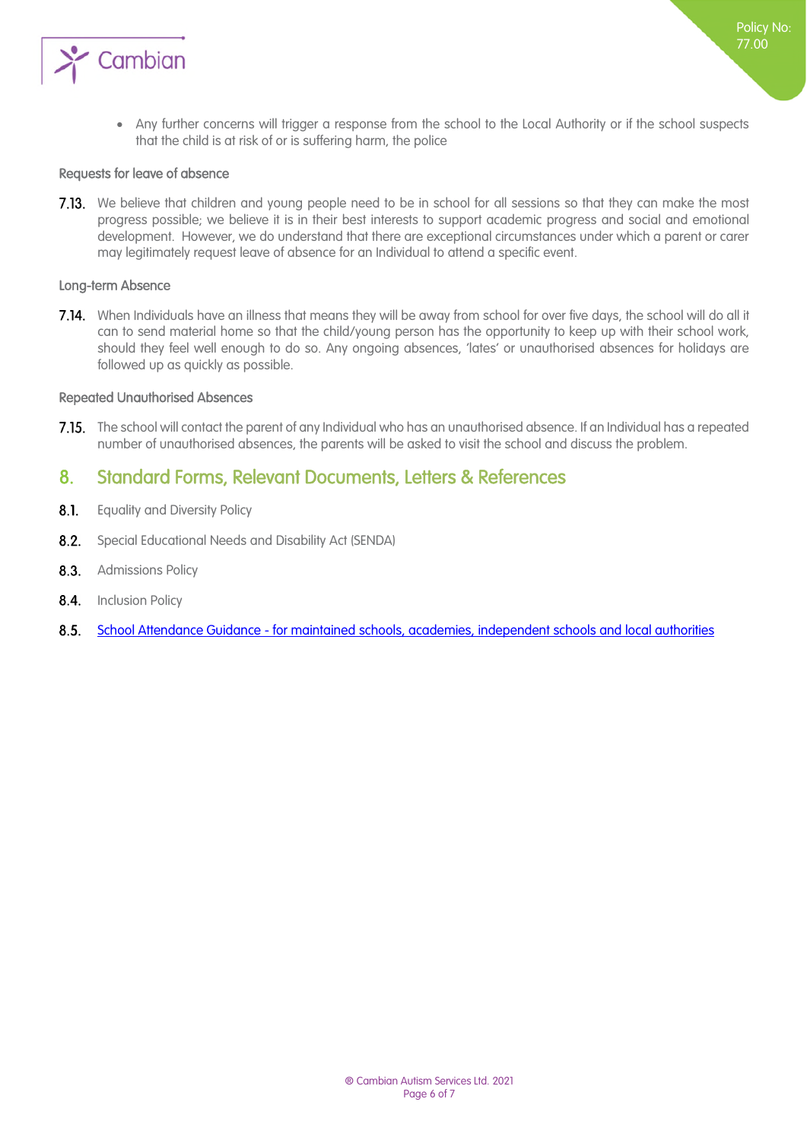

 Any further concerns will trigger a response from the school to the Local Authority or if the school suspects that the child is at risk of or is suffering harm, the police

Policy No: 77.00

#### <span id="page-5-0"></span>Requests for leave of absence

7.13. We believe that children and young people need to be in school for all sessions so that they can make the most progress possible; we believe it is in their best interests to support academic progress and social and emotional development. However, we do understand that there are exceptional circumstances under which a parent or carer may legitimately request leave of absence for an Individual to attend a specific event.

#### <span id="page-5-1"></span>Long-term Absence

7.14. When Individuals have an illness that means they will be away from school for over five days, the school will do all it can to send material home so that the child/young person has the opportunity to keep up with their school work, should they feel well enough to do so. Any ongoing absences, 'lates' or unauthorised absences for holidays are followed up as quickly as possible.

#### <span id="page-5-2"></span>Repeated Unauthorised Absences

7.15. The school will contact the parent of any Individual who has an unauthorised absence. If an Individual has a repeated number of unauthorised absences, the parents will be asked to visit the school and discuss the problem.

### <span id="page-5-3"></span>8. Standard Forms, Relevant Documents, Letters & References

- $8.1.$ Equality and Diversity Policy
- 8.2. Special Educational Needs and Disability Act (SENDA)
- 8.3. Admissions Policy
- 8.4. Inclusion Policy
- <span id="page-5-4"></span>[School Attendance Guidance - for maintained schools, academies, independent schools and local authorities](https://www.gov.uk/government/uploads/system/uploads/attachment_data/file/564599/school_attendance.pdf)